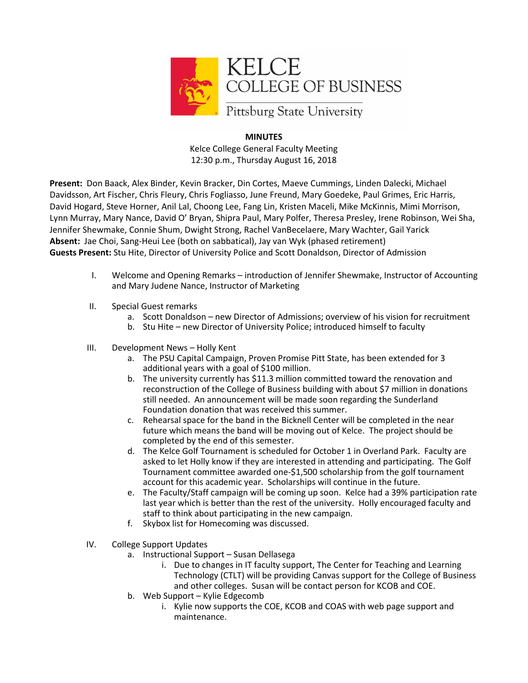

## **MINUTES**

Kelce College General Faculty Meeting 12:30 p.m., Thursday August 16, 2018

**Present:** Don Baack, Alex Binder, Kevin Bracker, Din Cortes, Maeve Cummings, Linden Dalecki, Michael Davidsson, Art Fischer, Chris Fleury, Chris Fogliasso, June Freund, Mary Goedeke, Paul Grimes, Eric Harris, David Hogard, Steve Horner, Anil Lal, Choong Lee, Fang Lin, Kristen Maceli, Mike McKinnis, Mimi Morrison, Lynn Murray, Mary Nance, David O' Bryan, Shipra Paul, Mary Polfer, Theresa Presley, Irene Robinson, Wei Sha, Jennifer Shewmake, Connie Shum, Dwight Strong, Rachel VanBecelaere, Mary Wachter, Gail Yarick **Absent:** Jae Choi, Sang-Heui Lee (both on sabbatical), Jay van Wyk (phased retirement) **Guests Present:** Stu Hite, Director of University Police and Scott Donaldson, Director of Admission

- I. Welcome and Opening Remarks introduction of Jennifer Shewmake, Instructor of Accounting and Mary Judene Nance, Instructor of Marketing
- II. Special Guest remarks
	- a. Scott Donaldson new Director of Admissions; overview of his vision for recruitment
	- b. Stu Hite new Director of University Police; introduced himself to faculty
- III. Development News Holly Kent
	- a. The PSU Capital Campaign, Proven Promise Pitt State, has been extended for 3 additional years with a goal of \$100 million.
	- b. The university currently has \$11.3 million committed toward the renovation and reconstruction of the College of Business building with about \$7 million in donations still needed. An announcement will be made soon regarding the Sunderland Foundation donation that was received this summer.
	- c. Rehearsal space for the band in the Bicknell Center will be completed in the near future which means the band will be moving out of Kelce. The project should be completed by the end of this semester.
	- d. The Kelce Golf Tournament is scheduled for October 1 in Overland Park. Faculty are asked to let Holly know if they are interested in attending and participating. The Golf Tournament committee awarded one-\$1,500 scholarship from the golf tournament account for this academic year. Scholarships will continue in the future.
	- e. The Faculty/Staff campaign will be coming up soon. Kelce had a 39% participation rate last year which is better than the rest of the university. Holly encouraged faculty and staff to think about participating in the new campaign.
	- f. Skybox list for Homecoming was discussed.
- IV. College Support Updates
	- a. Instructional Support Susan Dellasega
		- i. Due to changes in IT faculty support, The Center for Teaching and Learning Technology (CTLT) will be providing Canvas support for the College of Business and other colleges. Susan will be contact person for KCOB and COE.
	- b. Web Support Kylie Edgecomb
		- i. Kylie now supports the COE, KCOB and COAS with web page support and maintenance.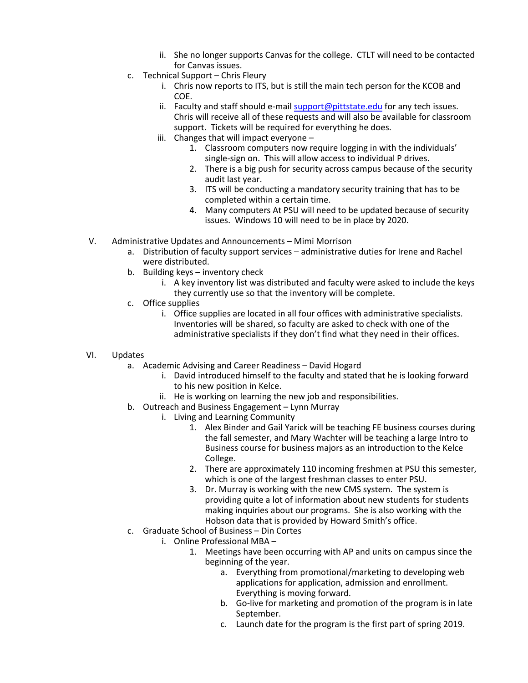- ii. She no longer supports Canvas for the college. CTLT will need to be contacted for Canvas issues.
- c. Technical Support Chris Fleury
	- i. Chris now reports to ITS, but is still the main tech person for the KCOB and COE.
	- ii. Faculty and staff should e-mail [support@pittstate.edu](mailto:support@pittstate.edu) for any tech issues. Chris will receive all of these requests and will also be available for classroom support. Tickets will be required for everything he does.
	- iii. Changes that will impact everyone
		- 1. Classroom computers now require logging in with the individuals' single-sign on. This will allow access to individual P drives.
		- 2. There is a big push for security across campus because of the security audit last year.
		- 3. ITS will be conducting a mandatory security training that has to be completed within a certain time.
		- 4. Many computers At PSU will need to be updated because of security issues. Windows 10 will need to be in place by 2020.
- V. Administrative Updates and Announcements Mimi Morrison
	- a. Distribution of faculty support services administrative duties for Irene and Rachel were distributed.
	- b. Building keys inventory check
		- i. A key inventory list was distributed and faculty were asked to include the keys they currently use so that the inventory will be complete.
	- c. Office supplies
		- i. Office supplies are located in all four offices with administrative specialists. Inventories will be shared, so faculty are asked to check with one of the administrative specialists if they don't find what they need in their offices.
- VI. Updates
	- a. Academic Advising and Career Readiness David Hogard
		- i. David introduced himself to the faculty and stated that he is looking forward to his new position in Kelce.
		- ii. He is working on learning the new job and responsibilities.
	- b. Outreach and Business Engagement Lynn Murray
		- i. Living and Learning Community
			- 1. Alex Binder and Gail Yarick will be teaching FE business courses during the fall semester, and Mary Wachter will be teaching a large Intro to Business course for business majors as an introduction to the Kelce College.
			- 2. There are approximately 110 incoming freshmen at PSU this semester, which is one of the largest freshman classes to enter PSU.
			- 3. Dr. Murray is working with the new CMS system. The system is providing quite a lot of information about new students for students making inquiries about our programs. She is also working with the Hobson data that is provided by Howard Smith's office.
	- c. Graduate School of Business Din Cortes
		- i. Online Professional MBA
			- 1. Meetings have been occurring with AP and units on campus since the beginning of the year.
				- a. Everything from promotional/marketing to developing web applications for application, admission and enrollment. Everything is moving forward.
				- b. Go-live for marketing and promotion of the program is in late September.
				- c. Launch date for the program is the first part of spring 2019.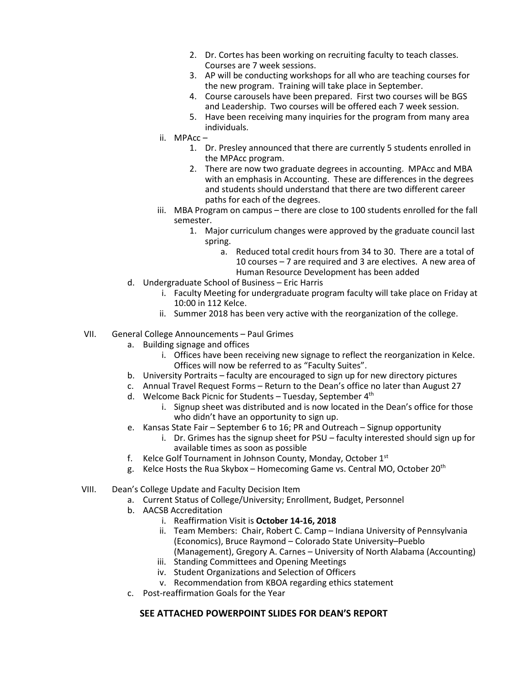- 2. Dr. Cortes has been working on recruiting faculty to teach classes. Courses are 7 week sessions.
- 3. AP will be conducting workshops for all who are teaching courses for the new program. Training will take place in September.
- 4. Course carousels have been prepared. First two courses will be BGS and Leadership. Two courses will be offered each 7 week session.
- 5. Have been receiving many inquiries for the program from many area individuals.
- ii. MPAcc
	- 1. Dr. Presley announced that there are currently 5 students enrolled in the MPAcc program.
	- 2. There are now two graduate degrees in accounting. MPAcc and MBA with an emphasis in Accounting. These are differences in the degrees and students should understand that there are two different career paths for each of the degrees.
- iii. MBA Program on campus there are close to 100 students enrolled for the fall semester.
	- 1. Major curriculum changes were approved by the graduate council last spring.
		- a. Reduced total credit hours from 34 to 30. There are a total of 10 courses – 7 are required and 3 are electives. A new area of Human Resource Development has been added
- d. Undergraduate School of Business Eric Harris
	- i. Faculty Meeting for undergraduate program faculty will take place on Friday at 10:00 in 112 Kelce.
	- ii. Summer 2018 has been very active with the reorganization of the college.
- VII. General College Announcements Paul Grimes
	- a. Building signage and offices
		- i. Offices have been receiving new signage to reflect the reorganization in Kelce. Offices will now be referred to as "Faculty Suites".
	- b. University Portraits faculty are encouraged to sign up for new directory pictures
	- c. Annual Travel Request Forms Return to the Dean's office no later than August 27
	- d. Welcome Back Picnic for Students Tuesday, September 4<sup>th</sup>
		- i. Signup sheet was distributed and is now located in the Dean's office for those who didn't have an opportunity to sign up.
	- e. Kansas State Fair September 6 to 16; PR and Outreach Signup opportunity
		- i. Dr. Grimes has the signup sheet for PSU faculty interested should sign up for available times as soon as possible
	- f. Kelce Golf Tournament in Johnson County, Monday, October 1st
	- g. Kelce Hosts the Rua Skybox Homecoming Game vs. Central MO, October 20<sup>th</sup>
- VIII. Dean's College Update and Faculty Decision Item
	- a. Current Status of College/University; Enrollment, Budget, Personnel
	- b. AACSB Accreditation
		- i. Reaffirmation Visit is **October 14-16, 2018**
		- ii. Team Members: Chair, Robert C. Camp Indiana University of Pennsylvania (Economics), Bruce Raymond – Colorado State University–Pueblo (Management), Gregory A. Carnes – University of North Alabama (Accounting)
		- iii. Standing Committees and Opening Meetings
		- iv. Student Organizations and Selection of Officers
		- v. Recommendation from KBOA regarding ethics statement
	- c. Post-reaffirmation Goals for the Year

## **SEE ATTACHED POWERPOINT SLIDES FOR DEAN'S REPORT**